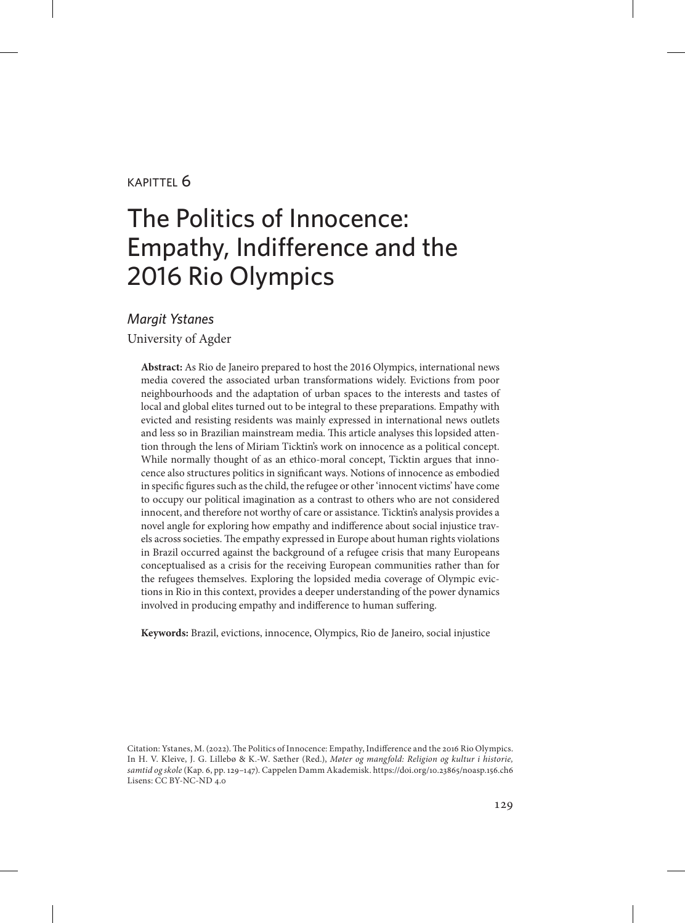#### kapittel 6

# The Politics of Innocence: Empathy, Indifference and the 2016 Rio Olympics

#### *Margit Ystanes*

University of Agder

**Abstract:** As Rio de Janeiro prepared to host the 2016 Olympics, international news media covered the associated urban transformations widely. Evictions from poor neighbourhoods and the adaptation of urban spaces to the interests and tastes of local and global elites turned out to be integral to these preparations. Empathy with evicted and resisting residents was mainly expressed in international news outlets and less so in Brazilian mainstream media. This article analyses this lopsided attention through the lens of Miriam Ticktin's work on innocence as a political concept. While normally thought of as an ethico-moral concept, Ticktin argues that innocence also structures politics in significant ways. Notions of innocence as embodied in specific figures such as the child, the refugee or other 'innocent victims' have come to occupy our political imagination as a contrast to others who are not considered innocent, and therefore not worthy of care or assistance. Ticktin's analysis provides a novel angle for exploring how empathy and indifference about social injustice travels across societies. The empathy expressed in Europe about human rights violations in Brazil occurred against the background of a refugee crisis that many Europeans conceptualised as a crisis for the receiving European communities rather than for the refugees themselves. Exploring the lopsided media coverage of Olympic evictions in Rio in this context, provides a deeper understanding of the power dynamics involved in producing empathy and indifference to human suffering.

**Keywords:** Brazil, evictions, innocence, Olympics, Rio de Janeiro, social injustice

Citation: Ystanes, M. (2022). The Politics of Innocence: Empathy, Indifference and the 2016 Rio Olympics. In H. V. Kleive, J. G. Lillebø & K.-W. Sæther (Red.), *Møter og mangfold: Religion og kultur i historie, samtid og skole* (Kap. 6, pp. 129–147). Cappelen Damm Akademisk. https://doi.org/10.23865/noasp.156.ch6 Lisens: CC BY-NC-ND 4.0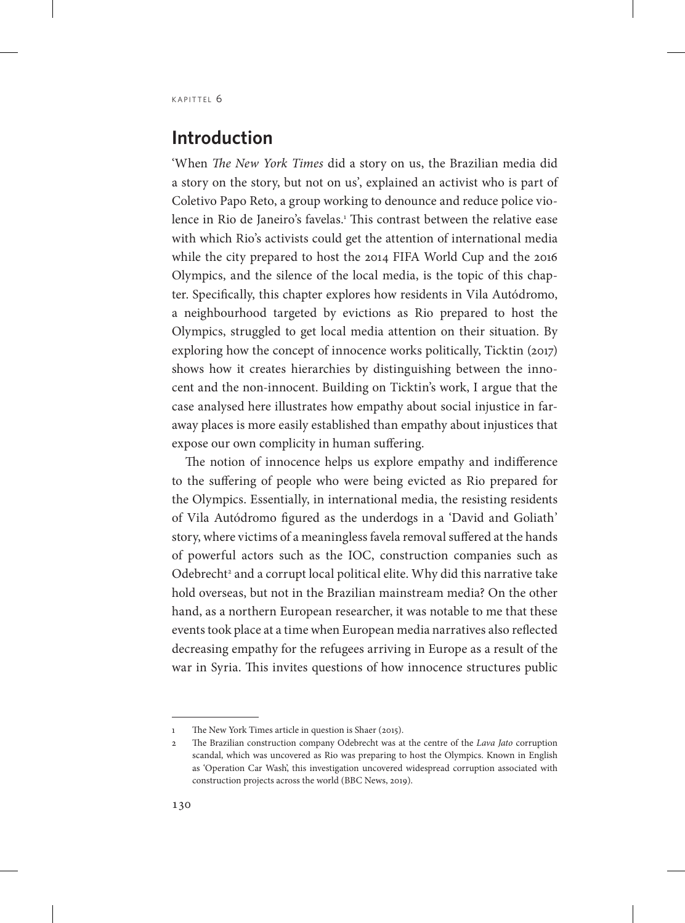# **Introduction**

'When *The New York Times* did a story on us, the Brazilian media did a story on the story, but not on us', explained an activist who is part of Coletivo Papo Reto, a group working to denounce and reduce police violence in Rio de Janeiro's favelas.<del>'</del> This contrast between the relative ease with which Rio's activists could get the attention of international media while the city prepared to host the 2014 FIFA World Cup and the 2016 Olympics, and the silence of the local media, is the topic of this chapter. Specifically, this chapter explores how residents in Vila Autódromo, a neighbourhood targeted by evictions as Rio prepared to host the Olympics, struggled to get local media attention on their situation. By exploring how the concept of innocence works politically, Ticktin (2017) shows how it creates hierarchies by distinguishing between the innocent and the non-innocent. Building on Ticktin's work, I argue that the case analysed here illustrates how empathy about social injustice in faraway places is more easily established than empathy about injustices that expose our own complicity in human suffering.

The notion of innocence helps us explore empathy and indifference to the suffering of people who were being evicted as Rio prepared for the Olympics. Essentially, in international media, the resisting residents of Vila Autódromo figured as the underdogs in a 'David and Goliath' story, where victims of a meaningless favela removal suffered at the hands of powerful actors such as the IOC, construction companies such as Odebrecht<sup>2</sup> and a corrupt local political elite. Why did this narrative take hold overseas, but not in the Brazilian mainstream media? On the other hand, as a northern European researcher, it was notable to me that these events took place at a time when European media narratives also reflected decreasing empathy for the refugees arriving in Europe as a result of the war in Syria. This invites questions of how innocence structures public

<sup>1</sup> The New York Times article in question is Shaer (2015).

<sup>2</sup> The Brazilian construction company Odebrecht was at the centre of the *Lava Jato* corruption scandal, which was uncovered as Rio was preparing to host the Olympics. Known in English as 'Operation Car Wash', this investigation uncovered widespread corruption associated with construction projects across the world (BBC News, 2019).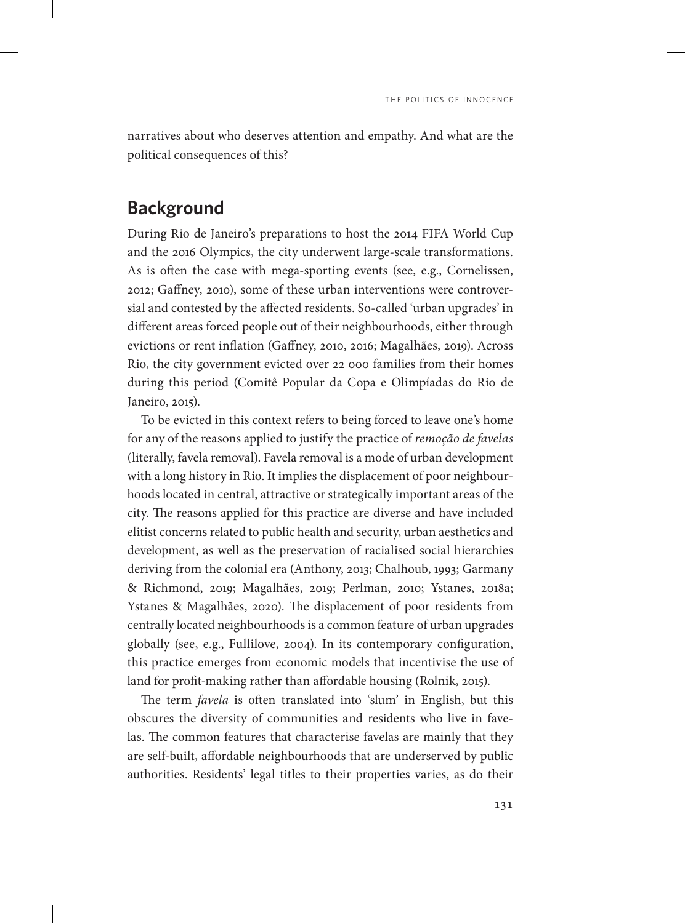narratives about who deserves attention and empathy. And what are the political consequences of this?

# **Background**

During Rio de Janeiro's preparations to host the 2014 FIFA World Cup and the 2016 Olympics, the city underwent large-scale transformations. As is often the case with mega-sporting events (see, e.g., Cornelissen, 2012; Gaffney, 2010), some of these urban interventions were controversial and contested by the affected residents. So-called 'urban upgrades' in different areas forced people out of their neighbourhoods, either through evictions or rent inflation (Gaffney, 2010, 2016; Magalhães, 2019). Across Rio, the city government evicted over 22 000 families from their homes during this period (Comitê Popular da Copa e Olimpíadas do Rio de Janeiro, 2015).

To be evicted in this context refers to being forced to leave one's home for any of the reasons applied to justify the practice of *remoção de favelas* (literally, favela removal). Favela removal is a mode of urban development with a long history in Rio. It implies the displacement of poor neighbourhoods located in central, attractive or strategically important areas of the city. The reasons applied for this practice are diverse and have included elitist concerns related to public health and security, urban aesthetics and development, as well as the preservation of racialised social hierarchies deriving from the colonial era (Anthony, 2013; Chalhoub, 1993; Garmany & Richmond, 2019; Magalhães, 2019; Perlman, 2010; Ystanes, 2018a; Ystanes & Magalhães, 2020). The displacement of poor residents from centrally located neighbourhoods is a common feature of urban upgrades globally (see, e.g., Fullilove, 2004). In its contemporary configuration, this practice emerges from economic models that incentivise the use of land for profit-making rather than affordable housing (Rolnik, 2015).

The term *favela* is often translated into 'slum' in English, but this obscures the diversity of communities and residents who live in favelas. The common features that characterise favelas are mainly that they are self-built, affordable neighbourhoods that are underserved by public authorities. Residents' legal titles to their properties varies, as do their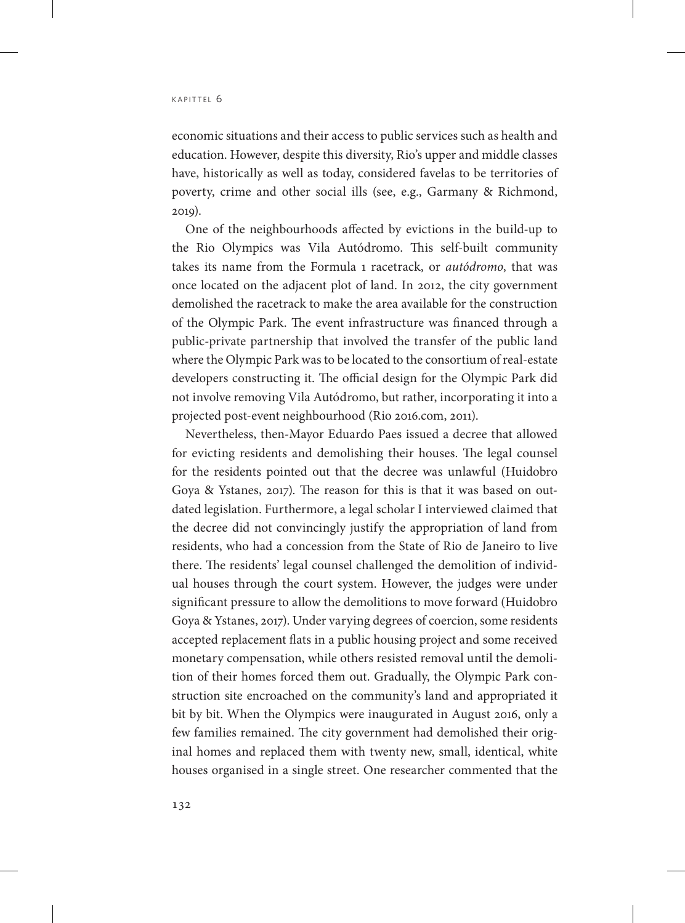economic situations and their access to public services such as health and education. However, despite this diversity, Rio's upper and middle classes have, historically as well as today, considered favelas to be territories of poverty, crime and other social ills (see, e.g., Garmany & Richmond, 2019).

One of the neighbourhoods affected by evictions in the build-up to the Rio Olympics was Vila Autódromo. This self-built community takes its name from the Formula 1 racetrack, or *autódromo*, that was once located on the adjacent plot of land. In 2012, the city government demolished the racetrack to make the area available for the construction of the Olympic Park. The event infrastructure was financed through a public-private partnership that involved the transfer of the public land where the Olympic Park was to be located to the consortium of real-estate developers constructing it. The official design for the Olympic Park did not involve removing Vila Autódromo, but rather, incorporating it into a projected post-event neighbourhood (Rio 2016.com, 2011).

Nevertheless, then-Mayor Eduardo Paes issued a decree that allowed for evicting residents and demolishing their houses. The legal counsel for the residents pointed out that the decree was unlawful (Huidobro Goya & Ystanes, 2017). The reason for this is that it was based on outdated legislation. Furthermore, a legal scholar I interviewed claimed that the decree did not convincingly justify the appropriation of land from residents, who had a concession from the State of Rio de Janeiro to live there. The residents' legal counsel challenged the demolition of individual houses through the court system. However, the judges were under significant pressure to allow the demolitions to move forward (Huidobro Goya & Ystanes, 2017). Under varying degrees of coercion, some residents accepted replacement flats in a public housing project and some received monetary compensation, while others resisted removal until the demolition of their homes forced them out. Gradually, the Olympic Park construction site encroached on the community's land and appropriated it bit by bit. When the Olympics were inaugurated in August 2016, only a few families remained. The city government had demolished their original homes and replaced them with twenty new, small, identical, white houses organised in a single street. One researcher commented that the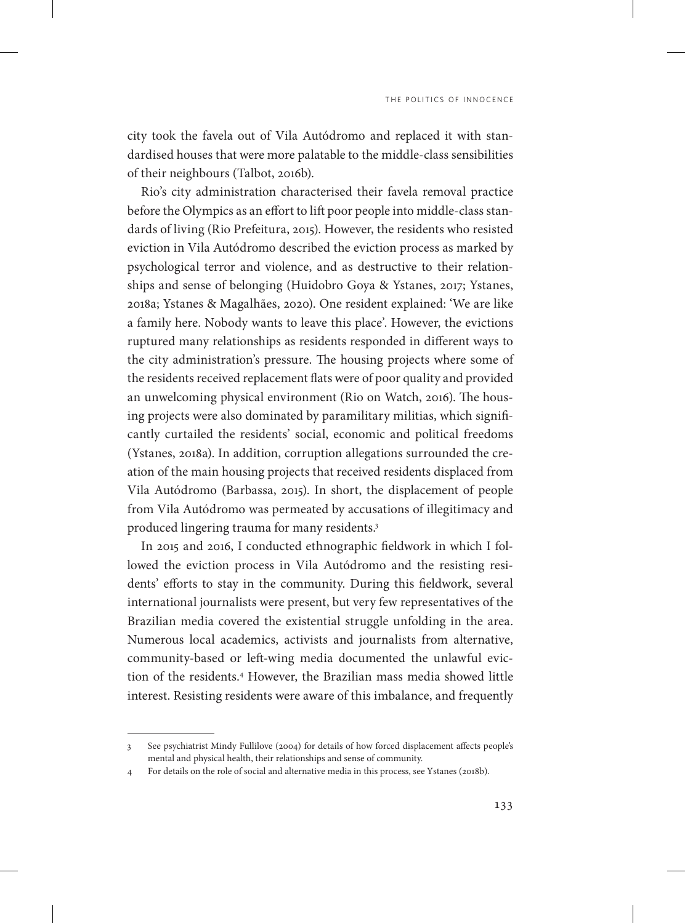THE POLITICS OF INNOCENCE

city took the favela out of Vila Autódromo and replaced it with standardised houses that were more palatable to the middle-class sensibilities of their neighbours (Talbot, 2016b).

Rio's city administration characterised their favela removal practice before the Olympics as an effort to lift poor people into middle-class standards of living (Rio Prefeitura, 2015). However, the residents who resisted eviction in Vila Autódromo described the eviction process as marked by psychological terror and violence, and as destructive to their relationships and sense of belonging (Huidobro Goya & Ystanes, 2017; Ystanes, 2018a; Ystanes & Magalhães, 2020). One resident explained: 'We are like a family here. Nobody wants to leave this place'. However, the evictions ruptured many relationships as residents responded in different ways to the city administration's pressure. The housing projects where some of the residents received replacement flats were of poor quality and provided an unwelcoming physical environment (Rio on Watch, 2016). The housing projects were also dominated by paramilitary militias, which significantly curtailed the residents' social, economic and political freedoms (Ystanes, 2018a). In addition, corruption allegations surrounded the creation of the main housing projects that received residents displaced from Vila Autódromo (Barbassa, 2015). In short, the displacement of people from Vila Autódromo was permeated by accusations of illegitimacy and produced lingering trauma for many residents.3

In 2015 and 2016, I conducted ethnographic fieldwork in which I followed the eviction process in Vila Autódromo and the resisting residents' efforts to stay in the community. During this fieldwork, several international journalists were present, but very few representatives of the Brazilian media covered the existential struggle unfolding in the area. Numerous local academics, activists and journalists from alternative, community-based or left-wing media documented the unlawful eviction of the residents.4 However, the Brazilian mass media showed little interest. Resisting residents were aware of this imbalance, and frequently

<sup>3</sup> See psychiatrist Mindy Fullilove (2004) for details of how forced displacement affects people's mental and physical health, their relationships and sense of community.

<sup>4</sup> For details on the role of social and alternative media in this process, see Ystanes (2018b).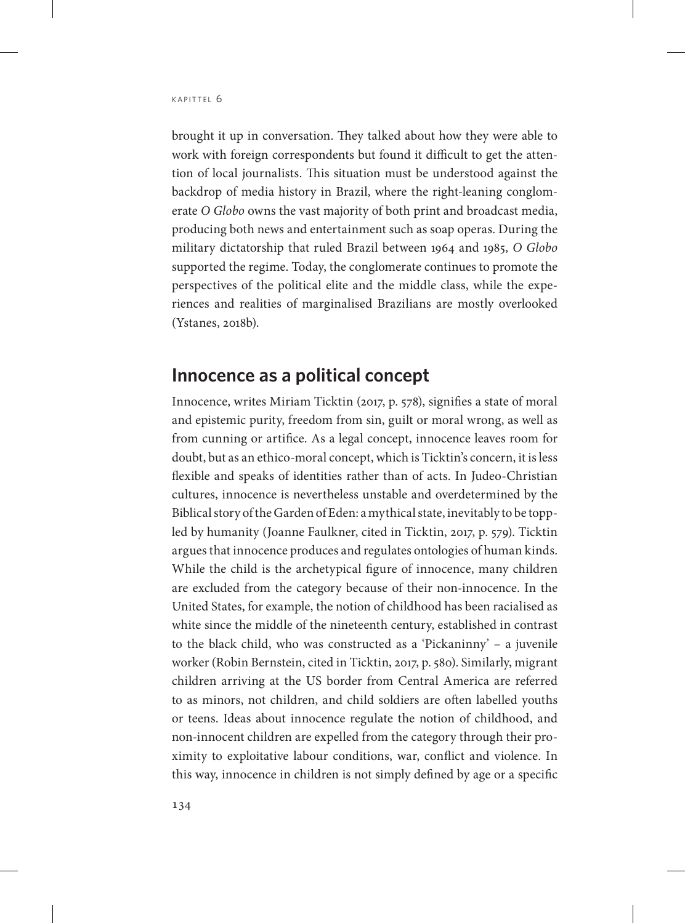brought it up in conversation. They talked about how they were able to work with foreign correspondents but found it difficult to get the attention of local journalists. This situation must be understood against the backdrop of media history in Brazil, where the right-leaning conglomerate *O Globo* owns the vast majority of both print and broadcast media, producing both news and entertainment such as soap operas. During the military dictatorship that ruled Brazil between 1964 and 1985, *O Globo* supported the regime. Today, the conglomerate continues to promote the perspectives of the political elite and the middle class, while the experiences and realities of marginalised Brazilians are mostly overlooked (Ystanes, 2018b).

# **Innocence as a political concept**

Innocence, writes Miriam Ticktin (2017, p. 578), signifies a state of moral and epistemic purity, freedom from sin, guilt or moral wrong, as well as from cunning or artifice. As a legal concept, innocence leaves room for doubt, but as an ethico-moral concept, which is Ticktin's concern, it is less flexible and speaks of identities rather than of acts. In Judeo-Christian cultures, innocence is nevertheless unstable and overdetermined by the Biblical story of the Garden of Eden: a mythical state, inevitably to be toppled by humanity (Joanne Faulkner, cited in Ticktin, 2017, p. 579). Ticktin argues that innocence produces and regulates ontologies of human kinds. While the child is the archetypical figure of innocence, many children are excluded from the category because of their non-innocence. In the United States, for example, the notion of childhood has been racialised as white since the middle of the nineteenth century, established in contrast to the black child, who was constructed as a 'Pickaninny' – a juvenile worker (Robin Bernstein, cited in Ticktin, 2017, p. 580). Similarly, migrant children arriving at the US border from Central America are referred to as minors, not children, and child soldiers are often labelled youths or teens. Ideas about innocence regulate the notion of childhood, and non-innocent children are expelled from the category through their proximity to exploitative labour conditions, war, conflict and violence. In this way, innocence in children is not simply defined by age or a specific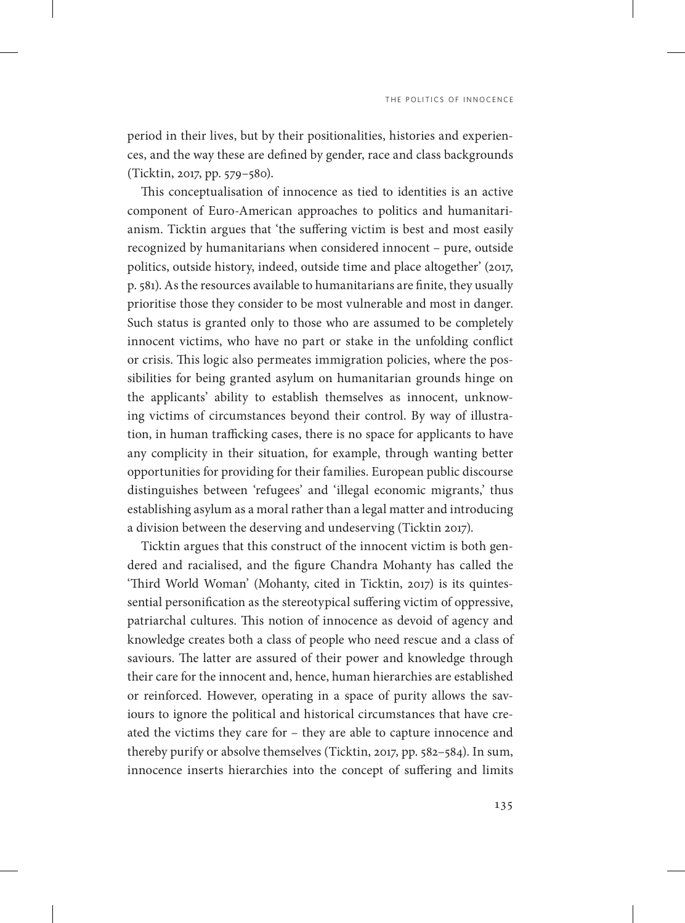THE POLITICS OF INNOCENCE

period in their lives, but by their positionalities, histories and experiences, and the way these are defined by gender, race and class backgrounds (Ticktin, 2017, pp. 579–580).

This conceptualisation of innocence as tied to identities is an active component of Euro-American approaches to politics and humanitarianism. Ticktin argues that 'the suffering victim is best and most easily recognized by humanitarians when considered innocent – pure, outside politics, outside history, indeed, outside time and place altogether' (2017, p. 581). As the resources available to humanitarians are finite, they usually prioritise those they consider to be most vulnerable and most in danger. Such status is granted only to those who are assumed to be completely innocent victims, who have no part or stake in the unfolding conflict or crisis. This logic also permeates immigration policies, where the possibilities for being granted asylum on humanitarian grounds hinge on the applicants' ability to establish themselves as innocent, unknowing victims of circumstances beyond their control. By way of illustration, in human trafficking cases, there is no space for applicants to have any complicity in their situation, for example, through wanting better opportunities for providing for their families. European public discourse distinguishes between 'refugees' and 'illegal economic migrants,' thus establishing asylum as a moral rather than a legal matter and introducing a division between the deserving and undeserving (Ticktin 2017).

Ticktin argues that this construct of the innocent victim is both gendered and racialised, and the figure Chandra Mohanty has called the 'Third World Woman' (Mohanty, cited in Ticktin, 2017) is its quintessential personification as the stereotypical suffering victim of oppressive, patriarchal cultures. This notion of innocence as devoid of agency and knowledge creates both a class of people who need rescue and a class of saviours. The latter are assured of their power and knowledge through their care for the innocent and, hence, human hierarchies are established or reinforced. However, operating in a space of purity allows the saviours to ignore the political and historical circumstances that have created the victims they care for – they are able to capture innocence and thereby purify or absolve themselves (Ticktin, 2017, pp. 582–584). In sum, innocence inserts hierarchies into the concept of suffering and limits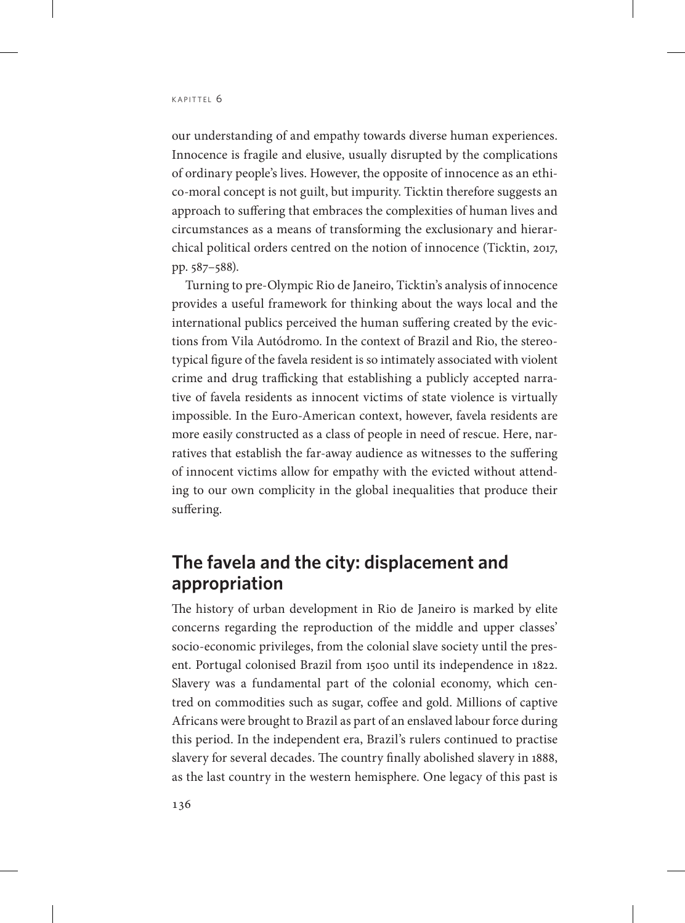our understanding of and empathy towards diverse human experiences. Innocence is fragile and elusive, usually disrupted by the complications of ordinary people's lives. However, the opposite of innocence as an ethico-moral concept is not guilt, but impurity. Ticktin therefore suggests an approach to suffering that embraces the complexities of human lives and circumstances as a means of transforming the exclusionary and hierarchical political orders centred on the notion of innocence (Ticktin, 2017, pp. 587–588).

Turning to pre-Olympic Rio de Janeiro, Ticktin's analysis of innocence provides a useful framework for thinking about the ways local and the international publics perceived the human suffering created by the evictions from Vila Autódromo. In the context of Brazil and Rio, the stereotypical figure of the favela resident is so intimately associated with violent crime and drug trafficking that establishing a publicly accepted narrative of favela residents as innocent victims of state violence is virtually impossible. In the Euro-American context, however, favela residents are more easily constructed as a class of people in need of rescue. Here, narratives that establish the far-away audience as witnesses to the suffering of innocent victims allow for empathy with the evicted without attending to our own complicity in the global inequalities that produce their suffering.

# **The favela and the city: displacement and appropriation**

The history of urban development in Rio de Janeiro is marked by elite concerns regarding the reproduction of the middle and upper classes' socio-economic privileges, from the colonial slave society until the present. Portugal colonised Brazil from 1500 until its independence in 1822. Slavery was a fundamental part of the colonial economy, which centred on commodities such as sugar, coffee and gold. Millions of captive Africans were brought to Brazil as part of an enslaved labour force during this period. In the independent era, Brazil's rulers continued to practise slavery for several decades. The country finally abolished slavery in 1888, as the last country in the western hemisphere. One legacy of this past is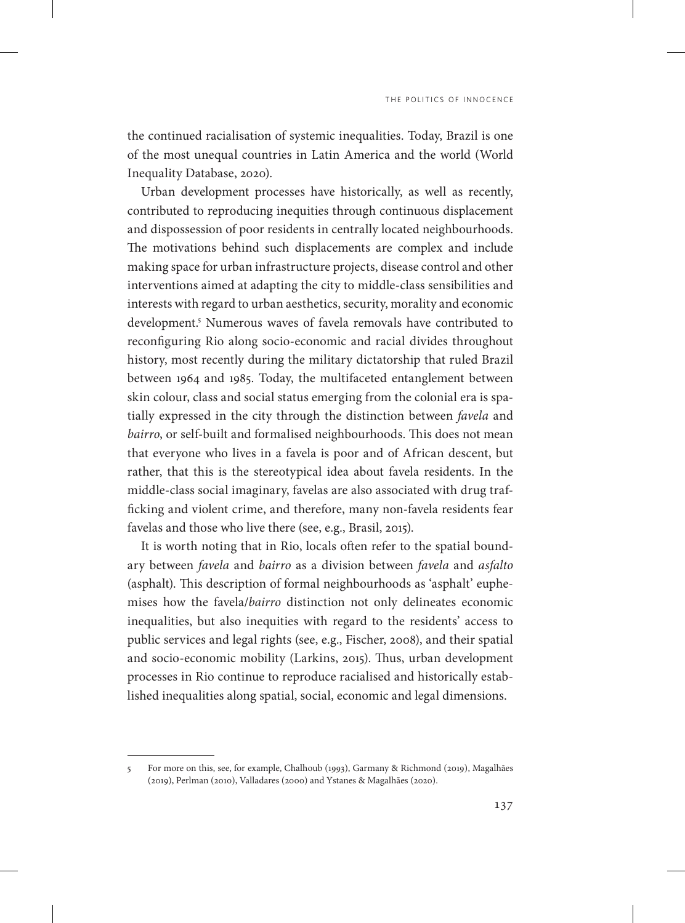THE POLITICS OF INNOCENCE

the continued racialisation of systemic inequalities. Today, Brazil is one of the most unequal countries in Latin America and the world (World Inequality Database, 2020).

Urban development processes have historically, as well as recently, contributed to reproducing inequities through continuous displacement and dispossession of poor residents in centrally located neighbourhoods. The motivations behind such displacements are complex and include making space for urban infrastructure projects, disease control and other interventions aimed at adapting the city to middle-class sensibilities and interests with regard to urban aesthetics, security, morality and economic development.5 Numerous waves of favela removals have contributed to reconfiguring Rio along socio-economic and racial divides throughout history, most recently during the military dictatorship that ruled Brazil between 1964 and 1985. Today, the multifaceted entanglement between skin colour, class and social status emerging from the colonial era is spatially expressed in the city through the distinction between *favela* and *bairro*, or self-built and formalised neighbourhoods. This does not mean that everyone who lives in a favela is poor and of African descent, but rather, that this is the stereotypical idea about favela residents. In the middle-class social imaginary, favelas are also associated with drug trafficking and violent crime, and therefore, many non-favela residents fear favelas and those who live there (see, e.g., Brasil, 2015).

It is worth noting that in Rio, locals often refer to the spatial boundary between *favela* and *bairro* as a division between *favela* and *asfalto* (asphalt). This description of formal neighbourhoods as 'asphalt' euphemises how the favela/*bairro* distinction not only delineates economic inequalities, but also inequities with regard to the residents' access to public services and legal rights (see, e.g., Fischer, 2008), and their spatial and socio-economic mobility (Larkins, 2015). Thus, urban development processes in Rio continue to reproduce racialised and historically established inequalities along spatial, social, economic and legal dimensions.

<sup>5</sup> For more on this, see, for example, Chalhoub (1993), Garmany & Richmond (2019), Magalhães (2019), Perlman (2010), Valladares (2000) and Ystanes & Magalhães (2020).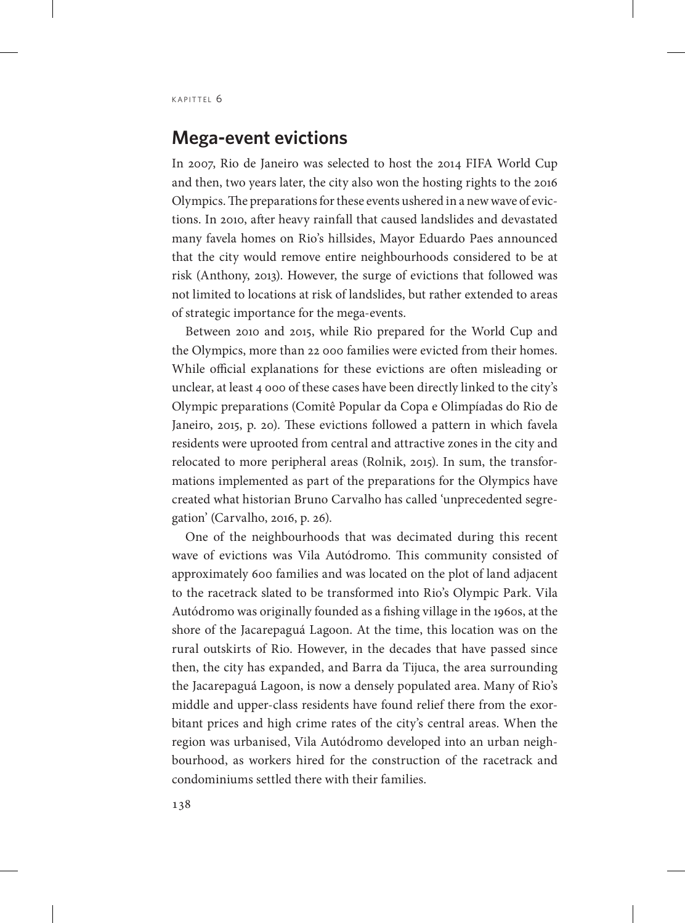## **Mega-event evictions**

In 2007, Rio de Janeiro was selected to host the 2014 FIFA World Cup and then, two years later, the city also won the hosting rights to the 2016 Olympics. The preparations for these events ushered in a new wave of evictions. In 2010, after heavy rainfall that caused landslides and devastated many favela homes on Rio's hillsides, Mayor Eduardo Paes announced that the city would remove entire neighbourhoods considered to be at risk (Anthony, 2013). However, the surge of evictions that followed was not limited to locations at risk of landslides, but rather extended to areas of strategic importance for the mega-events.

Between 2010 and 2015, while Rio prepared for the World Cup and the Olympics, more than 22 000 families were evicted from their homes. While official explanations for these evictions are often misleading or unclear, at least 4 000 of these cases have been directly linked to the city's Olympic preparations (Comitê Popular da Copa e Olimpíadas do Rio de Janeiro, 2015, p. 20). These evictions followed a pattern in which favela residents were uprooted from central and attractive zones in the city and relocated to more peripheral areas (Rolnik, 2015). In sum, the transformations implemented as part of the preparations for the Olympics have created what historian Bruno Carvalho has called 'unprecedented segregation' (Carvalho, 2016, p. 26).

One of the neighbourhoods that was decimated during this recent wave of evictions was Vila Autódromo. This community consisted of approximately 600 families and was located on the plot of land adjacent to the racetrack slated to be transformed into Rio's Olympic Park. Vila Autódromo was originally founded as a fishing village in the 1960s, at the shore of the Jacarepaguá Lagoon. At the time, this location was on the rural outskirts of Rio. However, in the decades that have passed since then, the city has expanded, and Barra da Tijuca, the area surrounding the Jacarepaguá Lagoon, is now a densely populated area. Many of Rio's middle and upper-class residents have found relief there from the exorbitant prices and high crime rates of the city's central areas. When the region was urbanised, Vila Autódromo developed into an urban neighbourhood, as workers hired for the construction of the racetrack and condominiums settled there with their families.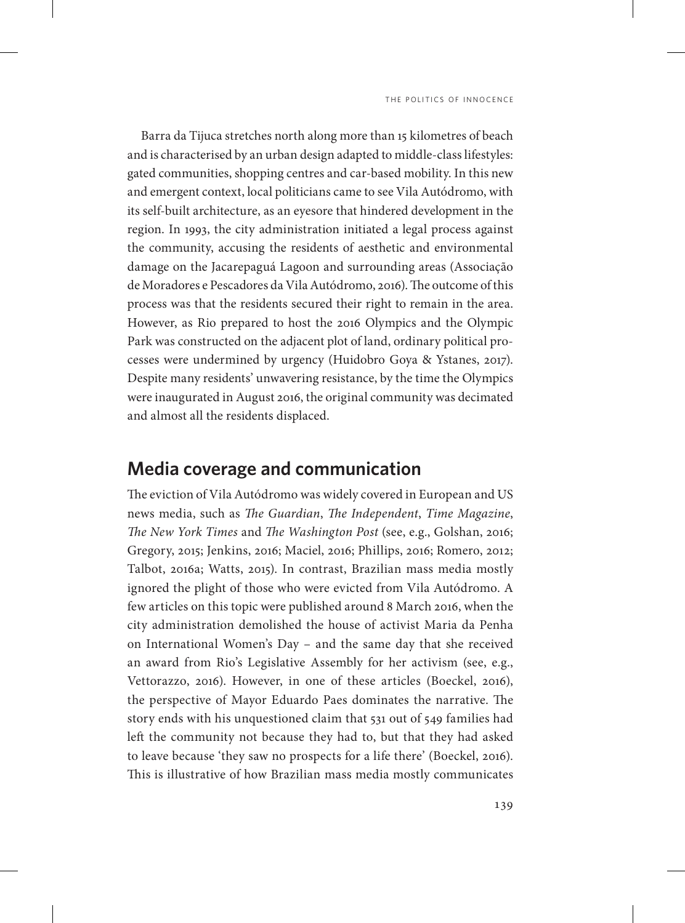Barra da Tijuca stretches north along more than 15 kilometres of beach and is characterised by an urban design adapted to middle-class lifestyles: gated communities, shopping centres and car-based mobility. In this new and emergent context, local politicians came to see Vila Autódromo, with its self-built architecture, as an eyesore that hindered development in the region. In 1993, the city administration initiated a legal process against the community, accusing the residents of aesthetic and environmental damage on the Jacarepaguá Lagoon and surrounding areas (Associação de Moradores e Pescadores da Vila Autódromo, 2016). The outcome of this process was that the residents secured their right to remain in the area. However, as Rio prepared to host the 2016 Olympics and the Olympic Park was constructed on the adjacent plot of land, ordinary political processes were undermined by urgency (Huidobro Goya & Ystanes, 2017). Despite many residents' unwavering resistance, by the time the Olympics were inaugurated in August 2016, the original community was decimated and almost all the residents displaced.

### **Media coverage and communication**

The eviction of Vila Autódromo was widely covered in European and US news media, such as *The Guardian*, *The Independent*, *Time Magazine*, *The New York Times* and *The Washington Post* (see, e.g., Golshan, 2016; Gregory, 2015; Jenkins, 2016; Maciel, 2016; Phillips, 2016; Romero, 2012; Talbot, 2016a; Watts, 2015). In contrast, Brazilian mass media mostly ignored the plight of those who were evicted from Vila Autódromo. A few articles on this topic were published around 8 March 2016, when the city administration demolished the house of activist Maria da Penha on International Women's Day – and the same day that she received an award from Rio's Legislative Assembly for her activism (see, e.g., Vettorazzo, 2016). However, in one of these articles (Boeckel, 2016), the perspective of Mayor Eduardo Paes dominates the narrative. The story ends with his unquestioned claim that 531 out of 549 families had left the community not because they had to, but that they had asked to leave because 'they saw no prospects for a life there' (Boeckel, 2016). This is illustrative of how Brazilian mass media mostly communicates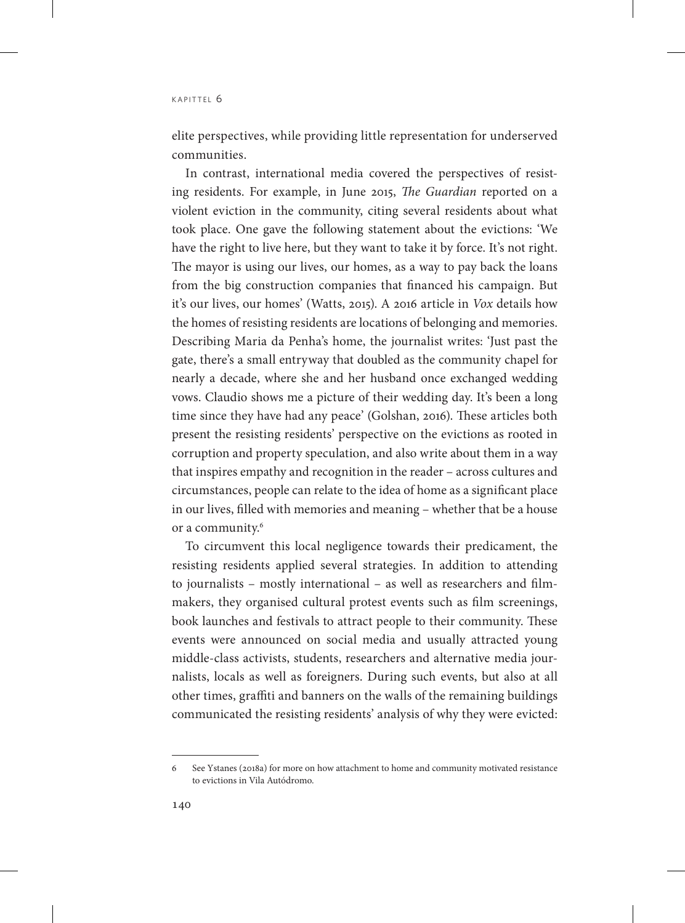elite perspectives, while providing little representation for underserved communities.

In contrast, international media covered the perspectives of resisting residents. For example, in June 2015, *The Guardian* reported on a violent eviction in the community, citing several residents about what took place. One gave the following statement about the evictions: 'We have the right to live here, but they want to take it by force. It's not right. The mayor is using our lives, our homes, as a way to pay back the loans from the big construction companies that financed his campaign. But it's our lives, our homes' (Watts, 2015). A 2016 article in *Vox* details how the homes of resisting residents are locations of belonging and memories. Describing Maria da Penha's home, the journalist writes: 'Just past the gate, there's a small entryway that doubled as the community chapel for nearly a decade, where she and her husband once exchanged wedding vows. Claudio shows me a picture of their wedding day. It's been a long time since they have had any peace' (Golshan, 2016). These articles both present the resisting residents' perspective on the evictions as rooted in corruption and property speculation, and also write about them in a way that inspires empathy and recognition in the reader – across cultures and circumstances, people can relate to the idea of home as a significant place in our lives, filled with memories and meaning – whether that be a house or a community.<sup>6</sup>

To circumvent this local negligence towards their predicament, the resisting residents applied several strategies. In addition to attending to journalists – mostly international – as well as researchers and filmmakers, they organised cultural protest events such as film screenings, book launches and festivals to attract people to their community. These events were announced on social media and usually attracted young middle-class activists, students, researchers and alternative media journalists, locals as well as foreigners. During such events, but also at all other times, graffiti and banners on the walls of the remaining buildings communicated the resisting residents' analysis of why they were evicted:

<sup>6</sup> See Ystanes (2018a) for more on how attachment to home and community motivated resistance to evictions in Vila Autódromo.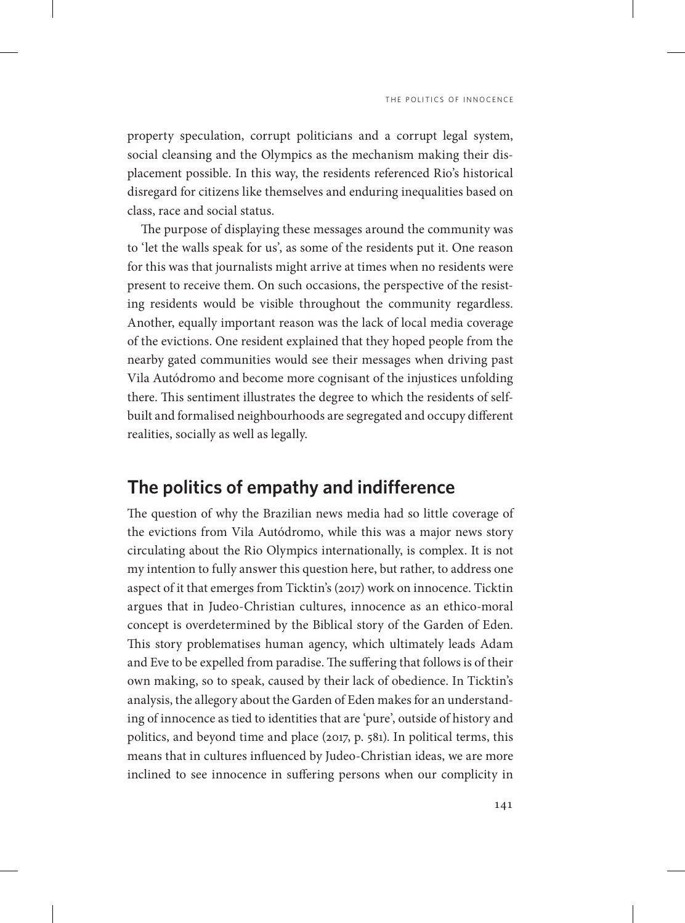property speculation, corrupt politicians and a corrupt legal system, social cleansing and the Olympics as the mechanism making their displacement possible. In this way, the residents referenced Rio's historical disregard for citizens like themselves and enduring inequalities based on class, race and social status.

The purpose of displaying these messages around the community was to 'let the walls speak for us', as some of the residents put it. One reason for this was that journalists might arrive at times when no residents were present to receive them. On such occasions, the perspective of the resisting residents would be visible throughout the community regardless. Another, equally important reason was the lack of local media coverage of the evictions. One resident explained that they hoped people from the nearby gated communities would see their messages when driving past Vila Autódromo and become more cognisant of the injustices unfolding there. This sentiment illustrates the degree to which the residents of selfbuilt and formalised neighbourhoods are segregated and occupy different realities, socially as well as legally.

### **The politics of empathy and indifference**

The question of why the Brazilian news media had so little coverage of the evictions from Vila Autódromo, while this was a major news story circulating about the Rio Olympics internationally, is complex. It is not my intention to fully answer this question here, but rather, to address one aspect of it that emerges from Ticktin's (2017) work on innocence. Ticktin argues that in Judeo-Christian cultures, innocence as an ethico-moral concept is overdetermined by the Biblical story of the Garden of Eden. This story problematises human agency, which ultimately leads Adam and Eve to be expelled from paradise. The suffering that follows is of their own making, so to speak, caused by their lack of obedience. In Ticktin's analysis, the allegory about the Garden of Eden makes for an understanding of innocence as tied to identities that are 'pure', outside of history and politics, and beyond time and place (2017, p. 581). In political terms, this means that in cultures influenced by Judeo-Christian ideas, we are more inclined to see innocence in suffering persons when our complicity in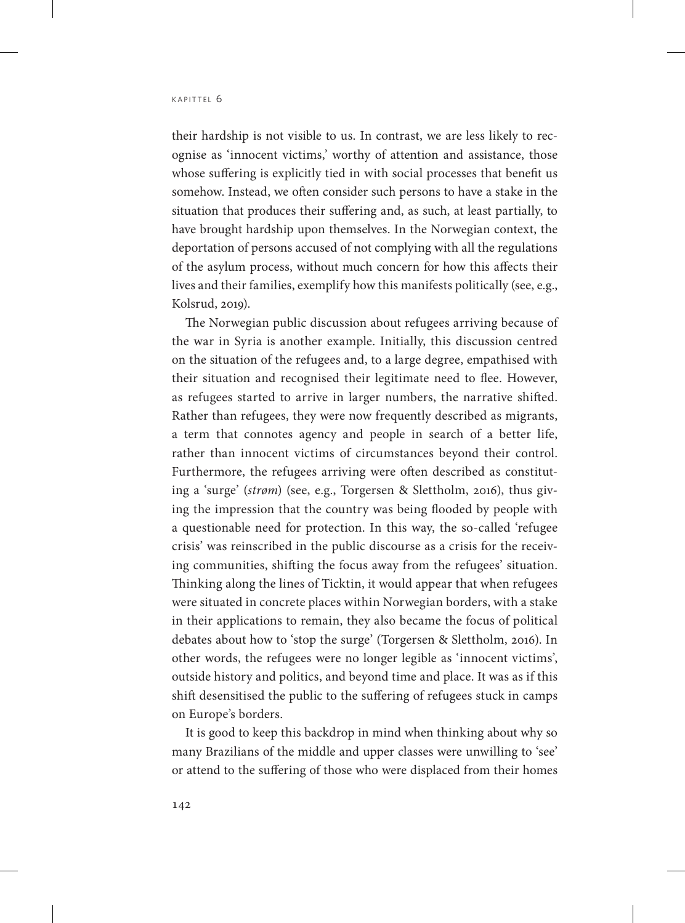their hardship is not visible to us. In contrast, we are less likely to recognise as 'innocent victims,' worthy of attention and assistance, those whose suffering is explicitly tied in with social processes that benefit us somehow. Instead, we often consider such persons to have a stake in the situation that produces their suffering and, as such, at least partially, to have brought hardship upon themselves. In the Norwegian context, the deportation of persons accused of not complying with all the regulations of the asylum process, without much concern for how this affects their lives and their families, exemplify how this manifests politically (see, e.g., Kolsrud, 2019).

The Norwegian public discussion about refugees arriving because of the war in Syria is another example. Initially, this discussion centred on the situation of the refugees and, to a large degree, empathised with their situation and recognised their legitimate need to flee. However, as refugees started to arrive in larger numbers, the narrative shifted. Rather than refugees, they were now frequently described as migrants, a term that connotes agency and people in search of a better life, rather than innocent victims of circumstances beyond their control. Furthermore, the refugees arriving were often described as constituting a 'surge' (*strøm*) (see, e.g., Torgersen & Slettholm, 2016), thus giving the impression that the country was being flooded by people with a questionable need for protection. In this way, the so-called 'refugee crisis' was reinscribed in the public discourse as a crisis for the receiving communities, shifting the focus away from the refugees' situation. Thinking along the lines of Ticktin, it would appear that when refugees were situated in concrete places within Norwegian borders, with a stake in their applications to remain, they also became the focus of political debates about how to 'stop the surge' (Torgersen & Slettholm, 2016). In other words, the refugees were no longer legible as 'innocent victims', outside history and politics, and beyond time and place. It was as if this shift desensitised the public to the suffering of refugees stuck in camps on Europe's borders.

It is good to keep this backdrop in mind when thinking about why so many Brazilians of the middle and upper classes were unwilling to 'see' or attend to the suffering of those who were displaced from their homes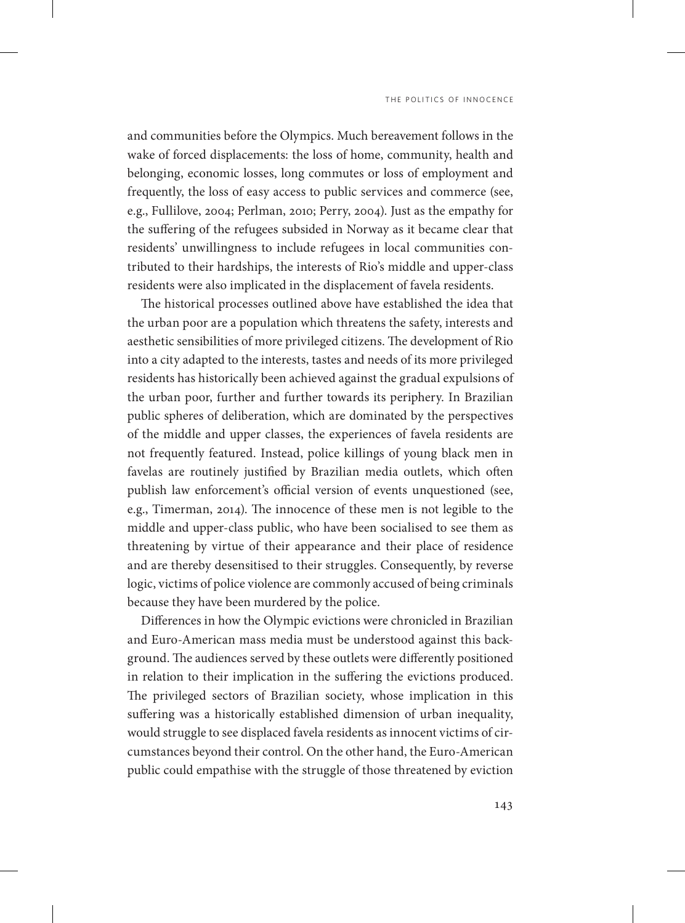and communities before the Olympics. Much bereavement follows in the wake of forced displacements: the loss of home, community, health and belonging, economic losses, long commutes or loss of employment and frequently, the loss of easy access to public services and commerce (see, e.g., Fullilove, 2004; Perlman, 2010; Perry, 2004). Just as the empathy for the suffering of the refugees subsided in Norway as it became clear that residents' unwillingness to include refugees in local communities contributed to their hardships, the interests of Rio's middle and upper-class residents were also implicated in the displacement of favela residents.

The historical processes outlined above have established the idea that the urban poor are a population which threatens the safety, interests and aesthetic sensibilities of more privileged citizens. The development of Rio into a city adapted to the interests, tastes and needs of its more privileged residents has historically been achieved against the gradual expulsions of the urban poor, further and further towards its periphery. In Brazilian public spheres of deliberation, which are dominated by the perspectives of the middle and upper classes, the experiences of favela residents are not frequently featured. Instead, police killings of young black men in favelas are routinely justified by Brazilian media outlets, which often publish law enforcement's official version of events unquestioned (see, e.g., Timerman, 2014). The innocence of these men is not legible to the middle and upper-class public, who have been socialised to see them as threatening by virtue of their appearance and their place of residence and are thereby desensitised to their struggles. Consequently, by reverse logic, victims of police violence are commonly accused of being criminals because they have been murdered by the police.

Differences in how the Olympic evictions were chronicled in Brazilian and Euro-American mass media must be understood against this background. The audiences served by these outlets were differently positioned in relation to their implication in the suffering the evictions produced. The privileged sectors of Brazilian society, whose implication in this suffering was a historically established dimension of urban inequality, would struggle to see displaced favela residents as innocent victims of circumstances beyond their control. On the other hand, the Euro-American public could empathise with the struggle of those threatened by eviction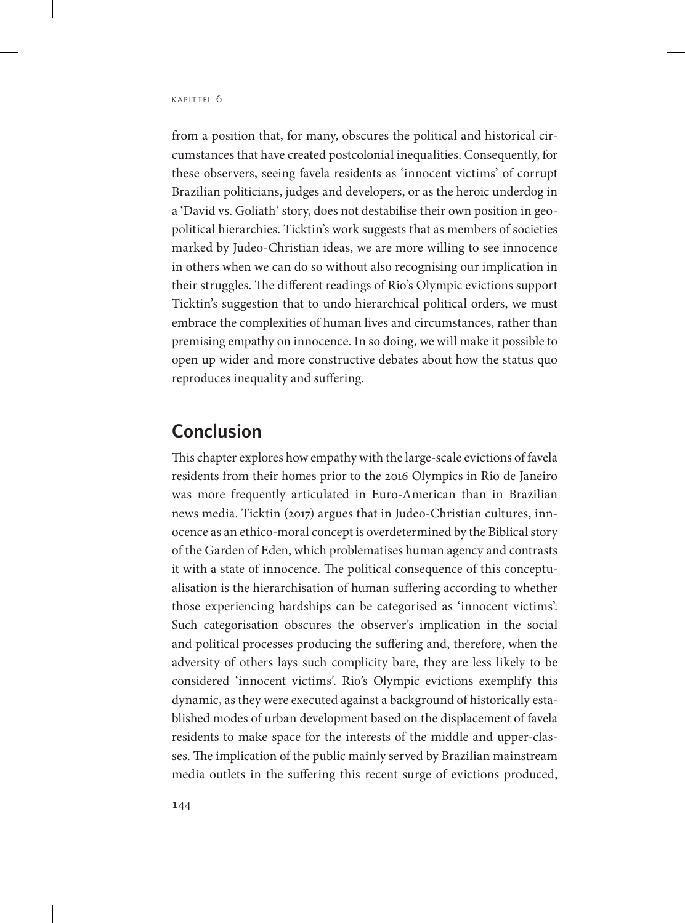from a position that, for many, obscures the political and historical circumstances that have created postcolonial inequalities. Consequently, for these observers, seeing favela residents as 'innocent victims' of corrupt Brazilian politicians, judges and developers, or as the heroic underdog in a 'David vs. Goliath' story, does not destabilise their own position in geopolitical hierarchies. Ticktin's work suggests that as members of societies marked by Judeo-Christian ideas, we are more willing to see innocence in others when we can do so without also recognising our implication in their struggles. The different readings of Rio's Olympic evictions support Ticktin's suggestion that to undo hierarchical political orders, we must embrace the complexities of human lives and circumstances, rather than premising empathy on innocence. In so doing, we will make it possible to open up wider and more constructive debates about how the status quo reproduces inequality and suffering.

# **Conclusion**

This chapter explores how empathy with the large-scale evictions of favela residents from their homes prior to the 2016 Olympics in Rio de Janeiro was more frequently articulated in Euro-American than in Brazilian news media. Ticktin (2017) argues that in Judeo-Christian cultures, innocence as an ethico-moral concept is overdetermined by the Biblical story of the Garden of Eden, which problematises human agency and contrasts it with a state of innocence. The political consequence of this conceptualisation is the hierarchisation of human suffering according to whether those experiencing hardships can be categorised as 'innocent victims'. Such categorisation obscures the observer's implication in the social and political processes producing the suffering and, therefore, when the adversity of others lays such complicity bare, they are less likely to be considered 'innocent victims'. Rio's Olympic evictions exemplify this dynamic, as they were executed against a background of historically established modes of urban development based on the displacement of favela residents to make space for the interests of the middle and upper-classes. The implication of the public mainly served by Brazilian mainstream media outlets in the suffering this recent surge of evictions produced,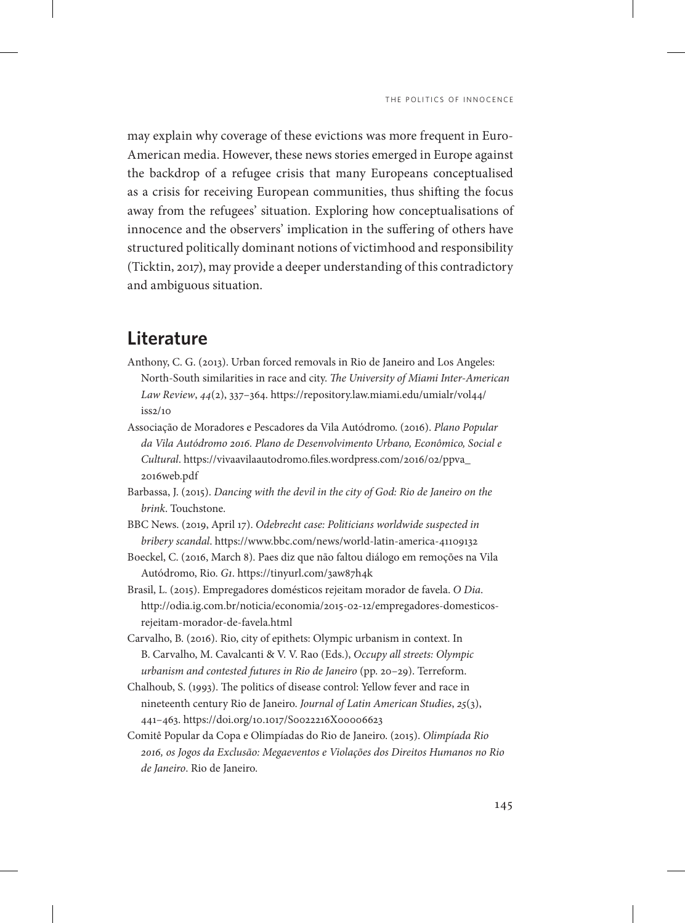may explain why coverage of these evictions was more frequent in Euro-American media. However, these news stories emerged in Europe against the backdrop of a refugee crisis that many Europeans conceptualised as a crisis for receiving European communities, thus shifting the focus away from the refugees' situation. Exploring how conceptualisations of innocence and the observers' implication in the suffering of others have structured politically dominant notions of victimhood and responsibility (Ticktin, 2017), may provide a deeper understanding of this contradictory and ambiguous situation.

# **Literature**

- Anthony, C. G. (2013). Urban forced removals in Rio de Janeiro and Los Angeles: North-South similarities in race and city. *The University of Miami Inter-American Law Review*, *44*(2), 337–364. [https://repository.law.miami.edu/umialr/vol44/](https://repository.law.miami.edu/umialr/vol44/iss2/10) [iss2/10](https://repository.law.miami.edu/umialr/vol44/iss2/10)
- Associação de Moradores e Pescadores da Vila Autódromo. (2016). *Plano Popular da Vila Autódromo 2016. Plano de Desenvolvimento Urbano, Econômico, Social e Cultural*. [https://vivaavilaautodromo.files.wordpress.com/2016/02/ppva\\_](https://vivaavilaautodromo.files.wordpress.com/2016/02/ppva_
2016web.pdf) [2016web.pdf](https://vivaavilaautodromo.files.wordpress.com/2016/02/ppva_
2016web.pdf)
- Barbassa, J. (2015). *Dancing with the devil in the city of God: Rio de Janeiro on the brink*. Touchstone.
- BBC News. (2019, April 17). *Odebrecht case: Politicians worldwide suspected in bribery scandal*. https://www.bbc.com/news/world-latin-america-41109132
- Boeckel, C. (2016, March 8). Paes diz que não faltou diálogo em remoções na Vila Autódromo, Rio. *G1*. https://tinyurl.com/3aw87h4k
- Brasil, L. (2015). Empregadores domésticos rejeitam morador de favela. *O Dia*. http://odia.ig.com.br/noticia/economia/2015-02-12/empregadores-domesticosrejeitam-morador-de-favela.html
- Carvalho, B. (2016). Rio, city of epithets: Olympic urbanism in context. In B. Carvalho, M. Cavalcanti & V. V. Rao (Eds.), *Occupy all streets: Olympic urbanism and contested futures in Rio de Janeiro* (pp. 20–29). Terreform.
- Chalhoub, S. (1993). The politics of disease control: Yellow fever and race in nineteenth century Rio de Janeiro. *Journal of Latin American Studies*, *25*(3), 441–463. https://doi.org/10.1017/S0022216X00006623
- Comitê Popular da Copa e Olimpíadas do Rio de Janeiro. (2015). *Olimpíada Rio 2016, os Jogos da Exclusão: Megaeventos e Violações dos Direitos Humanos no Rio de Janeiro*. Rio de Janeiro.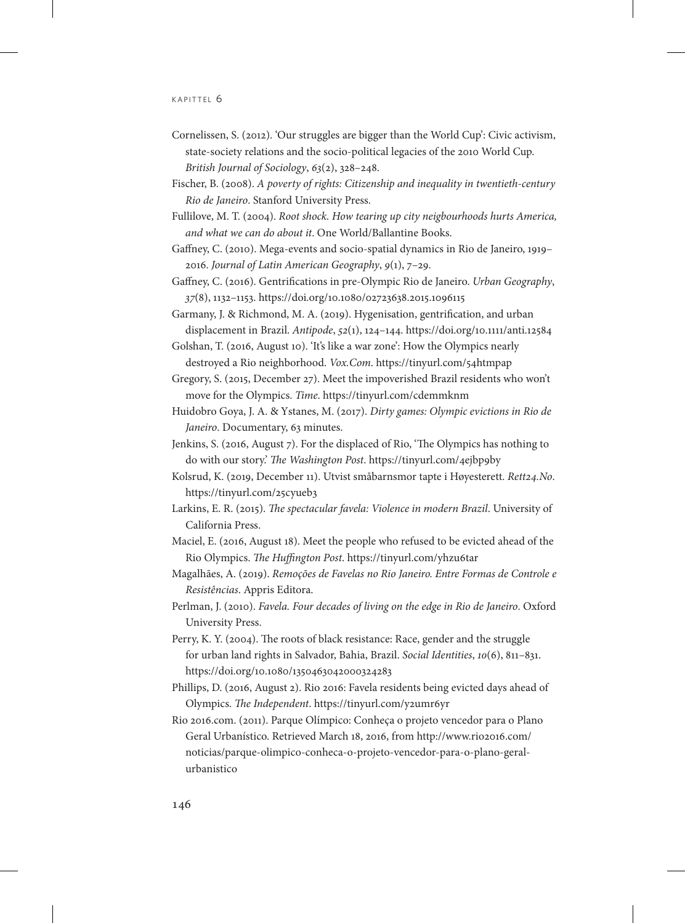- Cornelissen, S. (2012). 'Our struggles are bigger than the World Cup': Civic activism, state-society relations and the socio-political legacies of the 2010 World Cup. *British Journal of Sociology*, *63*(2), 328–248.
- Fischer, B. (2008). *A poverty of rights: Citizenship and inequality in twentieth-century Rio de Janeiro*. Stanford University Press.
- Fullilove, M. T. (2004). *Root shock. How tearing up city neigbourhoods hurts America, and what we can do about it*. One World/Ballantine Books.
- Gaffney, C. (2010). Mega-events and socio-spatial dynamics in Rio de Janeiro, 1919– 2016. *Journal of Latin American Geography*, *9*(1), 7–29.
- Gaffney, C. (2016). Gentrifications in pre-Olympic Rio de Janeiro. *Urban Geography*, *37*(8), 1132–1153.<https://doi.org/10.1080/02723638.2015.1096115>
- Garmany, J. & Richmond, M. A. (2019). Hygenisation, gentrification, and urban displacement in Brazil. *Antipode*, *52*(1), 124–144. https://doi.org/10.1111/anti.12584
- Golshan, T. (2016, August 10). 'It's like a war zone': How the Olympics nearly destroyed a Rio neighborhood. *Vox.Com*. https://tinyurl.com/54htmpap
- Gregory, S. (2015, December 27). Meet the impoverished Brazil residents who won't move for the Olympics. *Time*. https://tinyurl.com/cdemmknm
- Huidobro Goya, J. A. & Ystanes, M. (2017). *Dirty games: Olympic evictions in Rio de Janeiro*. Documentary, 63 minutes.
- Jenkins, S. (2016, August 7). For the displaced of Rio, 'The Olympics has nothing to do with our story.' *The Washington Post*. https://tinyurl.com/4ejbp9by
- Kolsrud, K. (2019, December 11). Utvist småbarnsmor tapte i Høyesterett. *Rett24.No*. https://tinyurl.com/25cyueb3
- Larkins, E. R. (2015). *The spectacular favela: Violence in modern Brazil*. University of California Press.
- Maciel, E. (2016, August 18). Meet the people who refused to be evicted ahead of the Rio Olympics. *The Huffington Post*. https://tinyurl.com/yhzu6tar
- Magalhães, A. (2019). *Remoções de Favelas no Rio Janeiro. Entre Formas de Controle e Resistências*. Appris Editora.
- Perlman, J. (2010). *Favela. Four decades of living on the edge in Rio de Janeiro*. Oxford University Press.
- Perry, K. Y. (2004). The roots of black resistance: Race, gender and the struggle for urban land rights in Salvador, Bahia, Brazil. *Social Identities*, *10*(6), 811–831. https://doi.org/10.1080/1350463042000324283
- Phillips, D. (2016, August 2). Rio 2016: Favela residents being evicted days ahead of Olympics. *The Independent*. https://tinyurl.com/y2umr6yr
- Rio 2016.com. (2011). Parque Olímpico: Conheça o projeto vencedor para o Plano Geral Urbanístico. Retrieved March 18, 2016, from [http://www.rio2016.com/](http://www.rio2016.com/noticias/parque-olimpico-conheca-o-projeto-vencedor-para-o-plano-geral-urbanistico) [noticias/parque-olimpico-conheca-o-projeto-vencedor-para-o-plano-geral](http://www.rio2016.com/noticias/parque-olimpico-conheca-o-projeto-vencedor-para-o-plano-geral-urbanistico)[urbanistico](http://www.rio2016.com/noticias/parque-olimpico-conheca-o-projeto-vencedor-para-o-plano-geral-urbanistico)